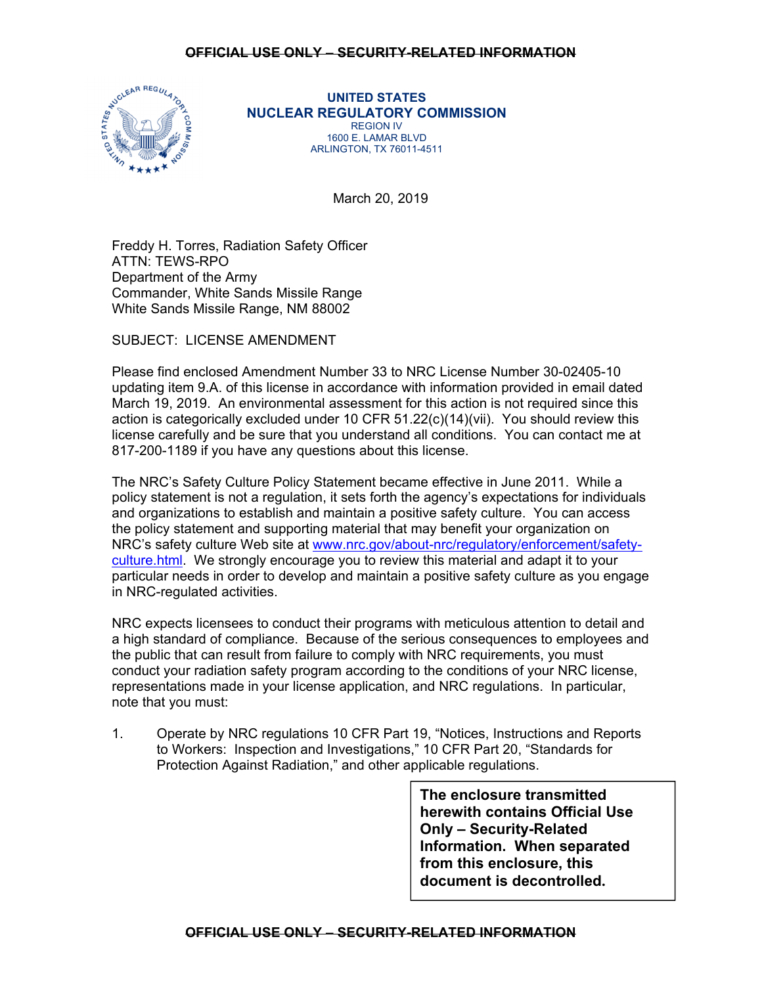

**UNITED STATES NUCLEAR REGULATORY COMMISSION**  REGION IV 1600 E. LAMAR BLVD ARLINGTON, TX 76011-4511

March 20, 2019

Freddy H. Torres, Radiation Safety Officer ATTN: TEWS-RPO Department of the Army Commander, White Sands Missile Range White Sands Missile Range, NM 88002

SUBJECT: LICENSE AMENDMENT

Please find enclosed Amendment Number 33 to NRC License Number 30-02405-10 updating item 9.A. of this license in accordance with information provided in email dated March 19, 2019. An environmental assessment for this action is not required since this action is categorically excluded under 10 CFR 51.22(c)(14)(vii). You should review this license carefully and be sure that you understand all conditions. You can contact me at 817-200-1189 if you have any questions about this license.

The NRC's Safety Culture Policy Statement became effective in June 2011. While a policy statement is not a regulation, it sets forth the agency's expectations for individuals and organizations to establish and maintain a positive safety culture. You can access the policy statement and supporting material that may benefit your organization on NRC's safety culture Web site at www.nrc.gov/about-nrc/regulatory/enforcement/safetyculture.html. We strongly encourage you to review this material and adapt it to your particular needs in order to develop and maintain a positive safety culture as you engage in NRC-regulated activities.

NRC expects licensees to conduct their programs with meticulous attention to detail and a high standard of compliance. Because of the serious consequences to employees and the public that can result from failure to comply with NRC requirements, you must conduct your radiation safety program according to the conditions of your NRC license, representations made in your license application, and NRC regulations. In particular, note that you must:

1. Operate by NRC regulations 10 CFR Part 19, "Notices, Instructions and Reports to Workers: Inspection and Investigations," 10 CFR Part 20, "Standards for Protection Against Radiation," and other applicable regulations.

> **The enclosure transmitted herewith contains Official Use Only – Security-Related Information. When separated from this enclosure, this document is decontrolled.**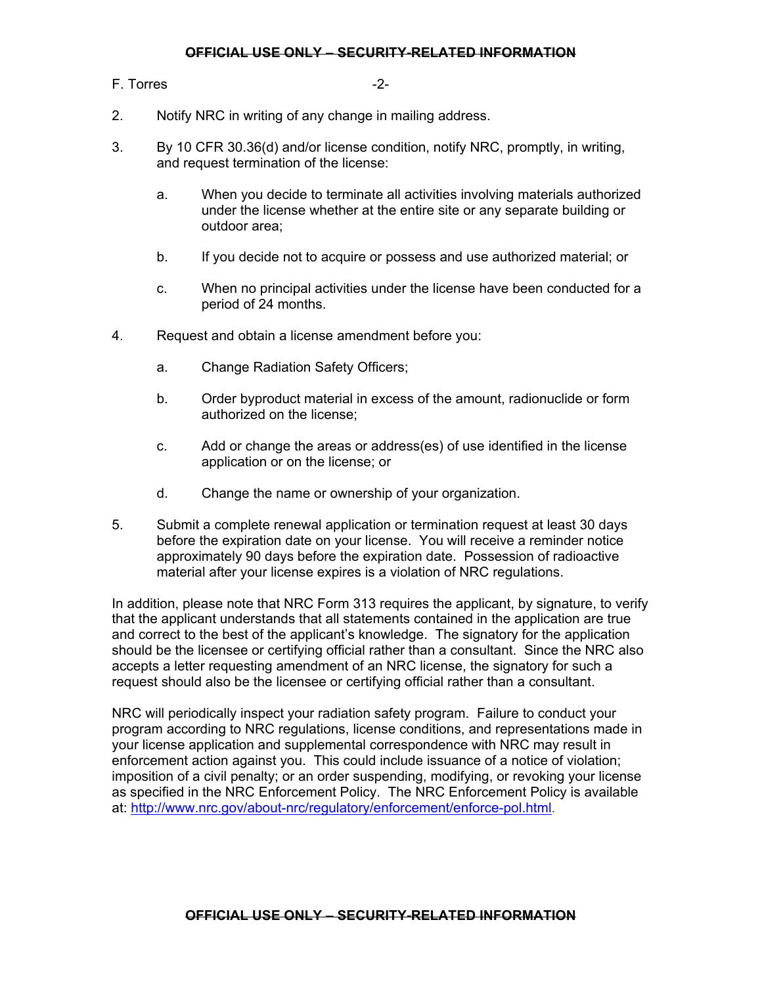## **OFFICIAL USE ONLY – SECURITY-RELATED INFORMATION**

## F. Torres -2-

- 2. Notify NRC in writing of any change in mailing address.
- 3. By 10 CFR 30.36(d) and/or license condition, notify NRC, promptly, in writing, and request termination of the license:
	- a. When you decide to terminate all activities involving materials authorized under the license whether at the entire site or any separate building or outdoor area;
	- b. If you decide not to acquire or possess and use authorized material; or
	- c. When no principal activities under the license have been conducted for a period of 24 months.
- 4. Request and obtain a license amendment before you:
	- a. Change Radiation Safety Officers;
	- b. Order byproduct material in excess of the amount, radionuclide or form authorized on the license;
	- c. Add or change the areas or address(es) of use identified in the license application or on the license; or
	- d. Change the name or ownership of your organization.
- 5. Submit a complete renewal application or termination request at least 30 days before the expiration date on your license. You will receive a reminder notice approximately 90 days before the expiration date. Possession of radioactive material after your license expires is a violation of NRC regulations.

In addition, please note that NRC Form 313 requires the applicant, by signature, to verify that the applicant understands that all statements contained in the application are true and correct to the best of the applicant's knowledge. The signatory for the application should be the licensee or certifying official rather than a consultant. Since the NRC also accepts a letter requesting amendment of an NRC license, the signatory for such a request should also be the licensee or certifying official rather than a consultant.

NRC will periodically inspect your radiation safety program. Failure to conduct your program according to NRC regulations, license conditions, and representations made in your license application and supplemental correspondence with NRC may result in enforcement action against you. This could include issuance of a notice of violation; imposition of a civil penalty; or an order suspending, modifying, or revoking your license as specified in the NRC Enforcement Policy. The NRC Enforcement Policy is available at: http://www.nrc.gov/about-nrc/regulatory/enforcement/enforce-pol.html.